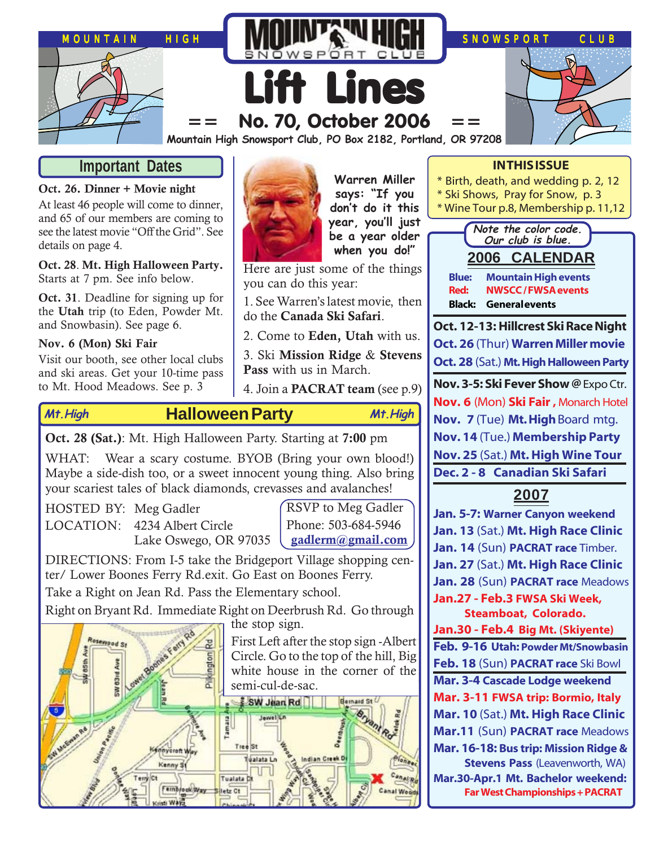

#### **Important Dates**

#### **Oct. 26. Dinner + Movie night**

At least 46 people will come to dinner, and 65 of our members are coming to see the latest movie "Off the Grid". See details on page 4.

**Oct. 28**. **Mt. High Halloween Party.** Starts at 7 pm. See info below.

**Oct. 31**. Deadline for signing up for the **Utah** trip (to Eden, Powder Mt. and Snowbasin). See page 6.

**Nov. 6 (Mon) Ski Fair**

Visit our booth, see other local clubs and ski areas. Get your 10-time pass to Mt. Hood Meadows. See p. 3



**Warren Miller says: "If you don't do it this year, you'll just be a year older when you do!"**

Here are just some of the things you can do this year:

1. See Warren's latest movie, then do the **Canada Ski Safari**.

2. Come to **Eden, Utah** with us.

3. Ski **Mission Ridge** & **Stevens Pass** with us in March.

4. Join a **PACRAT team** (see p.9)

#### **Halloween Party Mt.High Mt.High**

**Oct. 28 (Sat.)**: Mt. High Halloween Party. Starting at **7:00** pm

WHAT: Wear a scary costume. BYOB (Bring your own blood!) Maybe a side-dish too, or a sweet innocent young thing. Also bring your scariest tales of black diamonds, crevasses and avalanches!

HOSTED BY: Meg Gadler LOCATION: 4234 Albert Circle Lake Oswego, OR 97035

RSVP to Meg Gadler Phone: 503-684-5946 **[gadlerm@gmail.com](mailto:gadlerm@gmail.com)**

DIRECTIONS: From I-5 take the Bridgeport Village shopping center/ Lower Boones Ferry Rd.exit. Go East on Boones Ferry.

Take a Right on Jean Rd. Pass the Elementary school.

óg Fairy

æ

ngton

Right on Bryant Rd. Immediate Right on Deerbrush Rd. Go through

the stop sign.

First Left after the stop sign -Albert Circle. Go to the top of the hill, Big white house in the corner of the semi-cul-de-sac.





**Mar.11** (Sun) **PACRAT race** Meadows **Mar. 16-18: Bus trip: Mission Ridge &**

**Stevens Pass** (Leavenworth, WA) **Mar.30-Apr.1 Mt. Bachelor weekend: Far West Championships + PACRAT**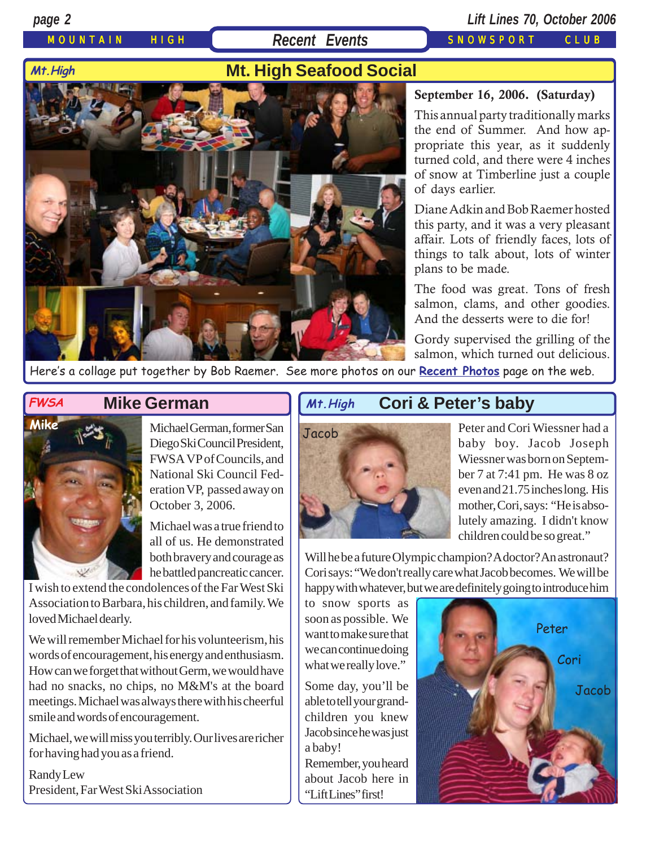#### MOUNTAIN HIGH **Recent Events** SNOWSPORT CLUB

#### *page 2 Lift Lines 70, October 2006*

**Mt.High**

#### **Mt. High Seafood Social**



#### **September 16, 2006. (Saturday)**

This annual party traditionally marks the end of Summer. And how appropriate this year, as it suddenly turned cold, and there were 4 inches of snow at Timberline just a couple of days earlier.

Diane Adkin and Bob Raemer hosted this party, and it was a very pleasant affair. Lots of friendly faces, lots of things to talk about, lots of winter plans to be made.

The food was great. Tons of fresh salmon, clams, and other goodies. And the desserts were to die for!

Gordy supervised the grilling of the salmon, which turned out delicious.

Here's a collage put together by Bob Raemer. See more photos on our **[Recent Photos](http://www.mthigh.org/PhotosRecent.htm)** page on the web.

#### **Mike German FWSA Mt.High**



Diego Ski Council President, FWSA VP of Councils, and National Ski Council Federation VP, passed away on October 3, 2006.

Michael was a true friend to all of us. He demonstrated both bravery and courage as he battled pancreatic cancer.

I wish to extend the condolences of the Far West Ski Association to Barbara, his children, and family. We loved Michael dearly.

We will remember Michael for his volunteerism, his words of encouragement, his energy and enthusiasm. How can we forget that without Germ, we would have had no snacks, no chips, no M&M's at the board meetings. Michael was always there with his cheerful smile and words of encouragement.

Michael, we will miss you terribly. Our lives are richer for having had you as a friend.

Randy Lew President, Far West Ski Association

# **Cori & Peter's baby**



Peter and Cori Wiessner had a baby boy. Jacob Joseph Wiessner was born on September 7 at 7:41 pm. He was 8 oz even and 21.75 inches long. His mother, Cori, says: "He is absolutely amazing. I didn't know children could be so great."

Will he be a future Olympic champion? A doctor? An astronaut? Cori says: "We don't really care what Jacob becomes. We will be happy with whatever, but we are definitely going to introduce him

to snow sports as soon as possible. We want to make sure that we can continue doing what we really love."

Some day, you'll be able to tell your grandchildren you knew Jacob since he was just a baby!

Remember, you heard about Jacob here in "Lift Lines" first!

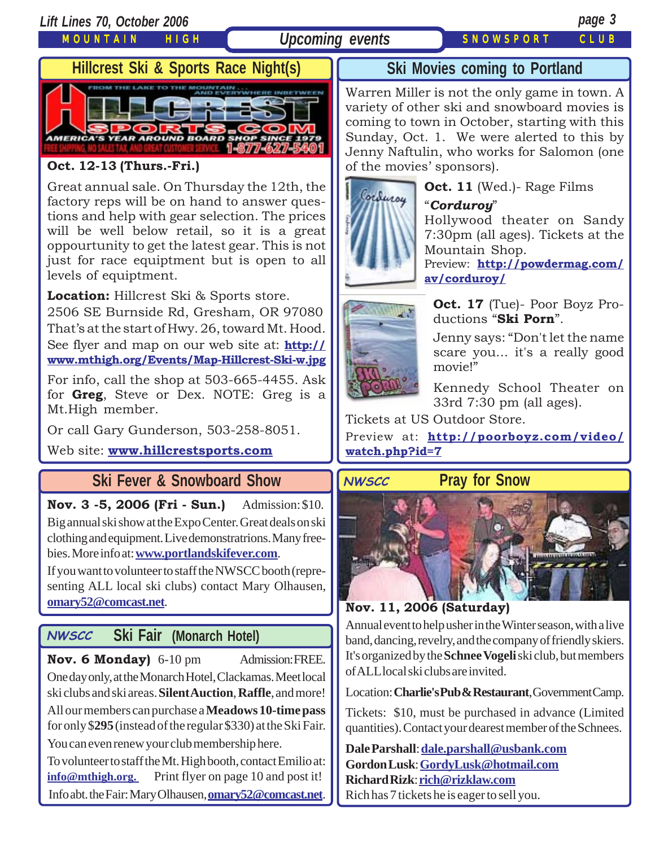*Lift Lines 70, October 2006 page 3*

MOUNTAIN HIGH

**Upcoming events** SNOWSPORT CLUB





#### **Oct. 12-13 (Thurs.-Fri.)**

Great annual sale. On Thursday the 12th, the factory reps will be on hand to answer questions and help with gear selection. The prices will be well below retail, so it is a great oppourtunity to get the latest gear. This is not just for race equiptment but is open to all levels of equiptment.

**Location:** Hillcrest Ski & Sports store.

2506 SE Burnside Rd, Gresham, OR 97080 That's at the start of Hwy. 26, toward Mt. Hood. See flyer and map on our web site at: **[http://](http://www.mthigh.org/Events/Map-Hillcrest-Ski-w.jpg) [www.mthigh.org/Events/Map-Hillcrest-Ski-w.jpg](http://www.mthigh.org/Events/Map-Hillcrest-Ski-w.jpg)**

For info, call the shop at 503-665-4455. Ask for **Greg**, Steve or Dex. NOTE: Greg is a Mt.High member.

Or call Gary Gunderson, 503-258-8051.

Web site: **[www.hillcrestsports.com](http://www.hillcrestsports.com/)**

#### **Ski Fever & Snowboard Show**

**Nov. 3 -5, 2006 (Fri - Sun.)** Admission: \$10. Big annual ski show at the Expo Center. Great deals on ski clothing and equipment. Live demonstratrions. Many freebies. More info at:**[www.portlandskifever.com](http:/www.portlandskifever.com/)**.

If you want to volunteer to staff the NWSCC booth (representing ALL local ski clubs) contact Mary Olhausen, **[omary52@comcast.net](mailto:omary52@comcast.net)**.

#### **Ski Fair (Monarch Hotel) NWSCC**

**Nov. 6 Monday)** 6-10 pm Admission: FREE. One day only, at the Monarch Hotel, Clackamas. Meet local ski clubs and ski areas. **Silent Auction**, **Raffle**, and more! All our members can purchase a **Meadows 10-time pass** for only \$**295** (instead of the regular \$330) at the Ski Fair. You can even renew your club membership here.

To volunteer to staff the Mt. High booth, contact Emilio at: **i[nfo@mthigh.org.](mailto:info@mthigh.org)** Print flyer on page 10 and post it! Info abt. the Fair: Mary Olhausen, **[omary52@comcast.net](mailto:omary52@comcast.net)**.

## **Ski Movies coming to Portland**

Warren Miller is not the only game in town. A variety of other ski and snowboard movies is coming to town in October, starting with this Sunday, Oct. 1. We were alerted to this by Jenny Naftulin, who works for Salomon (one of the movies' sponsors).



#### **Oct. 11** (Wed.)- Rage Films

#### "*Corduroy*"

Hollywood theater on Sandy 7:30pm (all ages). Tickets at the Mountain Shop.

Preview: **[http://powdermag.com/](http://powdermag.com/av/corduroy/) [av/corduroy/](http://powdermag.com/av/corduroy/)**



**Oct. 17** (Tue)- Poor Boyz Productions "**Ski Porn**".

Jenny says: "Don't let the name scare you... it's a really good movie!"

Kennedy School Theater on 33rd 7:30 pm (all ages).

Tickets at US Outdoor Store.

Preview at: **[http://poorboyz.com/video/](http://poorboyz.com/video/watch.php?id=7) [watch.php?id=7](http://poorboyz.com/video/watch.php?id=7)**

### **NWSCC**

**Pray for Snow**



**Nov. 11, 2006 (Saturday)**

Annual event to help usher in the Winter season, with a live band, dancing, revelry, and the company of friendly skiers. It's organized by the **Schnee Vogeli** ski club, but members of ALL local ski clubs are invited.

Location: **Charlie's Pub & Restaurant**, Government Camp.

Tickets: \$10, must be purchased in advance (Limited quantities). Contact your dearest member of the Schnees.

**Dale Parshall**: **[dale.parshall@usbank.com](mailto:dale.parshall@usbank.com) Gordon Lusk**: **[GordyLusk@hotmail.com](mailto:gordylusk@hotmail.com) Richard Rizk**: **[rich@rizklaw.com](mailto:rich@rizklaw.com.)** Rich has 7 tickets he is eager to sell you.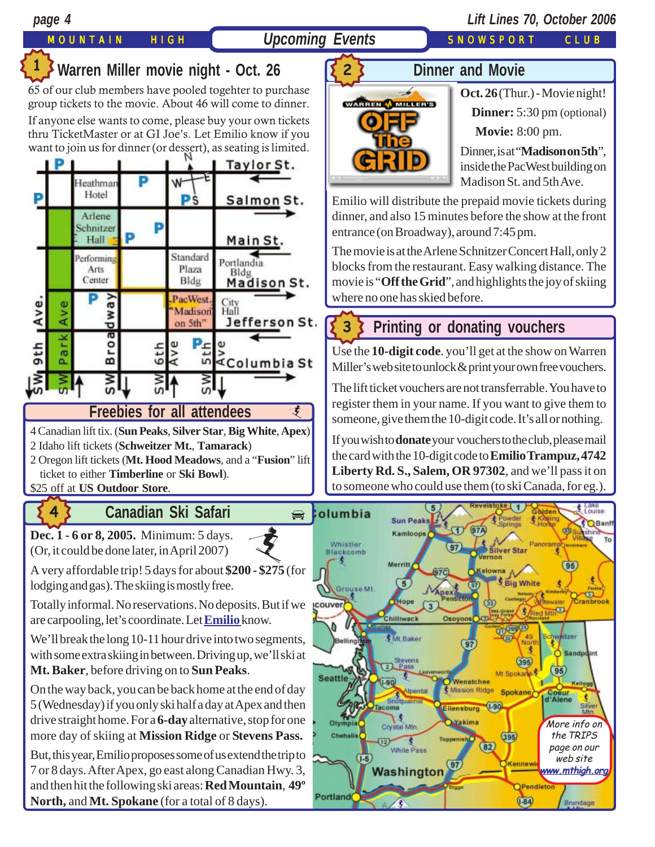#### MOUNTAIN HIGH **Upcoming Events** SNOWSPORT CLUB

支

#### *page 4 Lift Lines 70, October 2006*

# **1 Warren Miller movie night - Oct. 26 <b>1 1 1 2 2**

65 of our club members have pooled togehter to purchase group tickets to the movie. About 46 will come to dinner.

If anyone else wants to come, please buy your own tickets thru TicketMaster or at GI Joe's. Let Emilio know if you want to join us for dinner (or dessert), as seating is limited.



#### **Freebies [for all attendees](http://beavercreek.snow.com/winterhome.asp)**

4 Canadian lift tix. (**Sun Peaks**, **Silver Star**, **Big White**, **Apex**)

- 2 Idaho lift tickets (**Schweitzer Mt.**, **Tamarack**)
- 2 Oregon lift tickets (**Mt. Hood Meadows**, and a "**Fusion**" lift ticket to either **Timberline** or **Ski Bowl**).

\$25 off at **US Outdoor Store**.

**4**

# **Canadian Ski Safari**

**[Dec. 1 - 6 or 8, 2005.](http://beavercreek.snow.com/winterhome.asp)** Minimum: 5 days. (Or, it could be done later, in April 2007)

A very affordable trip! 5 days for about **\$200 - \$275** (for lodging and gas). The skiing is mostly free. [i](http://beavercreek.snow.com/winterhome.asp)

Totally informal. No reservations. No deposits. But if we prouver are carpooling, let's coordinate. Let **[Emilio](mailto:info@mthigh.org)** know.

We'll break the long 10-11 hour drive into two segments, with some extra skiing in between. Driving up, we'll ski at **Mt. Baker**, before driving on to **Sun Peaks**.

On the way back, you can be back home at the end of day 5 (Wednesday) if you only ski half a day at Apex and then drive straight home. For a **6-day** alternative, stop for one more day of skiing at **Mission Ridge** or **Stevens Pass.**

But, this year, Emilio proposes some of us extend the trip to 7 or 8 days. After Apex, go east along Canadian Hwy. 3, and then hit the following ski areas: **Red Mountain**, **49º North,** and **Mt. Spokane** (for a total of 8 days).

### **Dinner and Movie**



**Oct. 26** (Thur.) - Movie night! **Dinner:** 5:30 pm (optional) **Movie:** 8:00 pm.

Dinner, is at "**Madison on 5th**", inside the PacWest building on Madison St. and 5th Ave.

Emilio will distribute the prepaid movie tickets during [dinner, and also 15 minutes before the show at the front](http://beavercreek.snow.com/winterhome.asp) entrance (on Broadway), around 7:45 pm.

The movie is at the Arlene Schnitzer Concert Hall, only 2 blocks from the restaurant. Easy walking distance. The movie is "**Off the Grid**", and highlights the joy of skiing where no one has skied before.

#### **Printing or donating voucher[s](http://beavercreek.snow.com/winterhome.asp) 3**

Use the **10-digit code**[. you'll get at the show on Warren](http://beavercreek.snow.com/winterhome.asp) Miller's web site to unlock & print your own free vouchers.

The lift ticket vouchers are not transferrable. You have to register them in your name. If you want to give them to someone, give them the 10-digit code. It's all or nothing.

If you wish to **donate** your vouchers to the club, please mail the card with the 10-digit code to **Emilio Trampuz, 4742 Liberty Rd. S., Salem, OR 97302**, and we'll pass it on to someone who could use them (to ski Canada, for eg.).

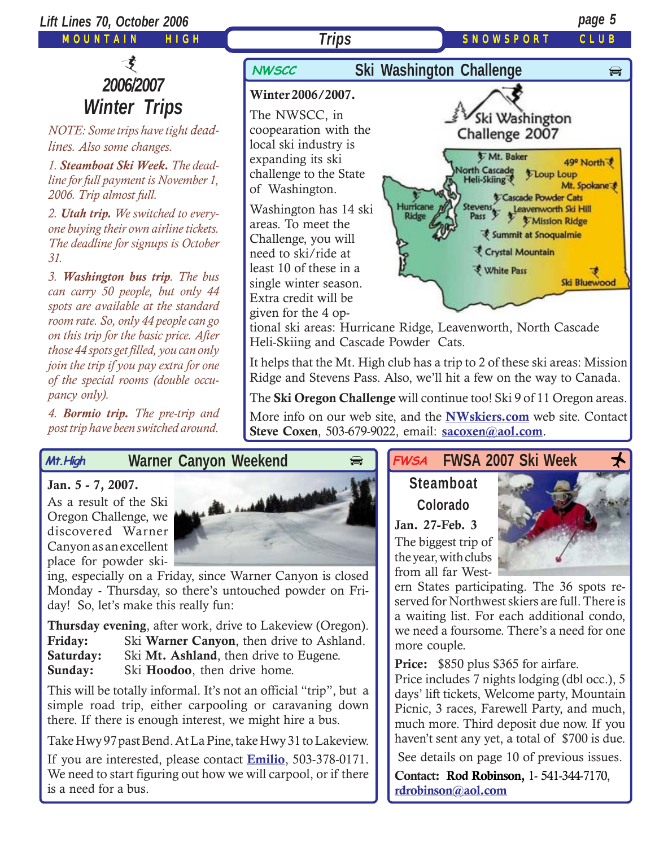

*4. Bormio trip. The pre-trip and post trip have been switched around.*

#### **Warner Canyon Weekend Mt.High**

#### **Jan. 5 - 7, 2007.**

As a result of the Ski Oregon Challenge, we discovered Warner Canyon as an excellent place for powder ski-



ing, especially on a Friday, since Warner Canyon is closed Monday - Thursday, so there's untouched powder on Friday! So, let's make this really fun:

|           | <b>Thursday evening, after work, drive to Lakeview (Oregon).</b> |
|-----------|------------------------------------------------------------------|
| Friday:   | Ski Warner Canyon, then drive to Ashland.                        |
| Saturday: | Ski Mt. Ashland, then drive to Eugene.                           |
| Sunday:   | Ski Hoodoo, then drive home.                                     |

This will be totally informal. It's not an official "trip", but a simple road trip, either carpooling or caravaning down there. If there is enough interest, we might hire a bus.

Take Hwy 97 past Bend. At La Pine, take Hwy 31 to Lakeview.

If you are interested, please contact **[Emilio](mailto:Emilio2000@earthlink.net)**, 503-378-0171. We need to start figuring out how we will carpool, or if there is a need for a bus.

#### **FWSA FWSA 2007 Ski Week**  $\star$ **FWSA**

## **Steamboat Colorado**

More info on our web site, and the **[NWskiers.com](http://www.nwskiers.org/)** web site. Contact

**Steve Coxen**, 503-679-9022, email: **[sacoxen@aol.com](mailto:sacoxen@aol.com)**.

**Jan. 27-Feb. 3** The biggest trip of the year, with clubs from all far West-

ern States participating. The 36 spots reserved for Northwest skiers are full. There is a waiting list. For each additional condo, we need a foursome. There's a need for one more couple.

**Price:** \$850 plus \$365 for airfare.

Price includes 7 nights lodging (dbl occ.), 5 days' lift tickets, Welcome party, Mountain Picnic, 3 races, Farewell Party, and much, much more. Third deposit due now. If you haven't sent any yet, a total of \$700 is due.

See details on page 10 of previous issues.

**Contact: Rod Robinson,** 1- 541-344-7170, **[rdrobinson@aol.com](mailto:rdrobinson@aol.com)**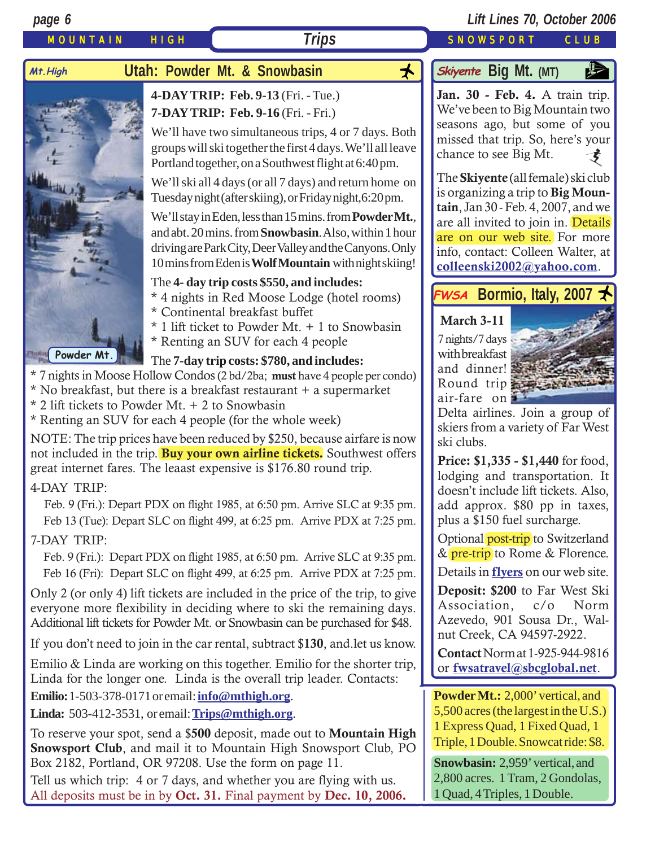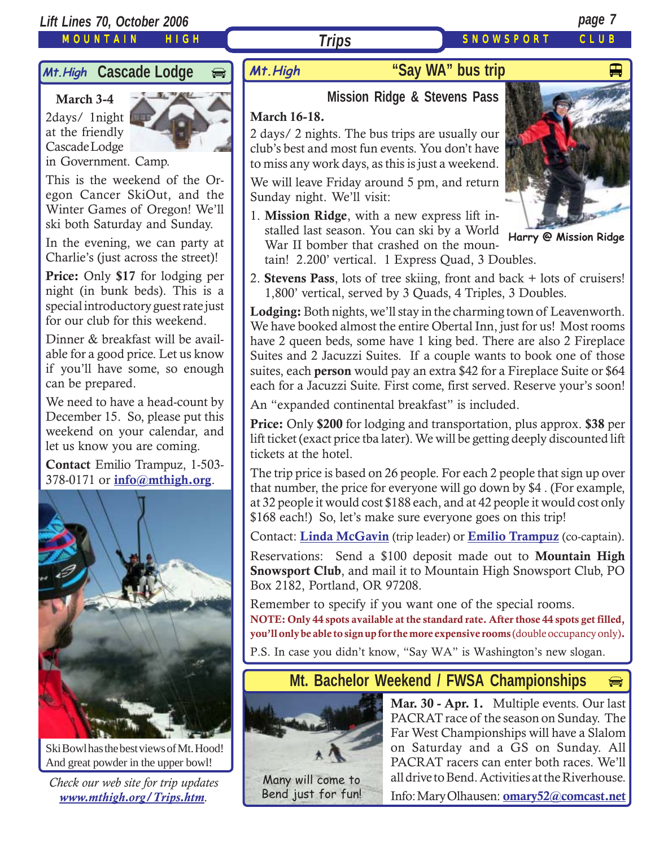*Lift Lines 70, October 2006 page 7*

MOUNTAIN HIGH

Mt. High **Cascade Lodge** 

**March 3-4** 2days/ 1night at the friendly Cascade Lodge



in Government. Camp.

This is the weekend of the Oregon Cancer SkiOut, and the Winter Games of Oregon! We'll ski both Saturday and Sunday.

In the evening, we can party at Charlie's (just across the street)!

**Price:** Only **\$17** for lodging per night (in bunk beds). This is a special introductory guest rate just for our club for this weekend.

Dinner & breakfast will be available for a good price. Let us know if you'll have some, so enough can be prepared.

We need to have a head-count by December 15. So, please put this weekend on your calendar, and let us know you are coming.

**Contact** Emilio Trampuz, 1-503- 378-0171 or **[info@mthigh.org](mailto:info@mthigh.org)**.



Ski Bowl has the best views of Mt. Hood! And great powder in the upper bowl!

*Check our web site for trip updates [www.mthigh.org/Trips.htm](http://www.mthigh.org/Trips.htm).*

 **"Say WA" bus trip** And Alleman Wand Alleman Alleman Alleman Alleman Alleman Alleman Alleman Alleman Alleman Al

#### **Mission Ridge & Stevens Pass**

#### **March 16-18.**

2 days/ 2 nights. The bus trips are usually our club's best and most fun events. You don't have to miss any work days, as this is just a weekend.

*Trips*

We will leave Friday around 5 pm, and return Sunday night. We'll visit:

1. **Mission Ridge**, with a new express lift installed last season. You can ski by a World War II bomber that crashed on the mountain! 2.200' vertical. 1 Express Quad, 3 Doubles.



**Harry @ Mission Ridge**

2. **Stevens Pass**, lots of tree skiing, front and back + lots of cruisers! 1,800' vertical, served by 3 Quads, 4 Triples, 3 Doubles.

**Lodging:** Both nights, we'll stay in the charming town of Leavenworth. We have booked almost the entire Obertal Inn, just for us! Most rooms have 2 queen beds, some have 1 king bed. There are also 2 Fireplace Suites and 2 Jacuzzi Suites. If a couple wants to book one of those suites, each **person** would pay an extra \$42 for a Fireplace Suite or \$64 each for a Jacuzzi Suite. First come, first served. Reserve your's soon!

An "expanded continental breakfast" is included.

**Price:** Only **\$200** for lodging and transportation, plus approx. **\$38** per lift ticket (exact price tba later). We will be getting deeply discounted lift tickets at the hotel.

The trip price is based on 26 people. For each 2 people that sign up over that number, the price for everyone will go down by \$4 . (For example, at 32 people it would cost \$188 each, and at 42 people it would cost only \$168 each!) So, let's make sure everyone goes on this trip!

Contact: **[Linda McGavin](mailto:Trips@mthigh.org)** (trip leader) or **[Emilio Trampuz](mailto:info@mthigh.org)** (co-captain).

Reservations: Send a \$100 deposit made out to **Mountain High Snowsport Club**, and mail it to Mountain High Snowsport Club, PO Box 2182, Portland, OR 97208.

Remember to specify if you want one of the special rooms. **NOTE: Only 44 spots available at the standard rate. After those 44 spots get filled, you'll only be able to sign up for the more expensive rooms** (double occupancy only)**.**

P.S. In case you didn't know, "Say WA" is Washington's new slogan.

### **Mt. Bachelor Weekend / FWSA Championships**



PACRAT race of the season on Sunday. The Far West Championships will have a Slalom on Saturday and a GS on Sunday. All PACRAT racers can enter both races. We'll all drive to Bend. Activities at the Riverhouse.

Many will come to Bend just for fun!

Info: Mary Olhausen: **[omary52@comcast.net](mailto:omary52@comcast.net)**

**Mar. 30 - Apr. 1.** Multiple events. Our last

▄

SNOWSPORT CLUB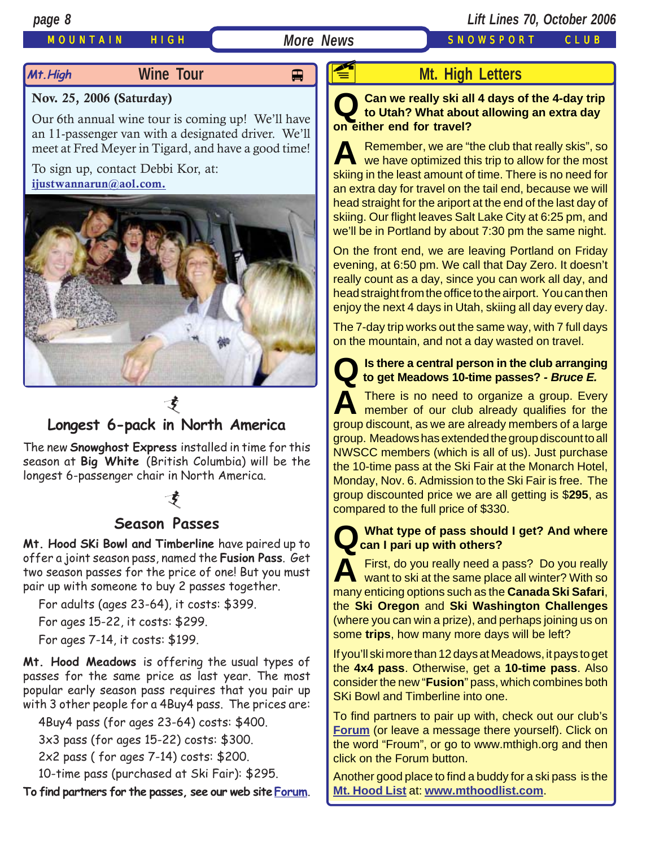#### MOUNTAIN HIGH *More News* SNOWSPORT CLUB

**FE** 

#### *page 8 Lift Lines 70, October 2006*

### **Mt.High Wine Tour**

#### **Nov. 25, 2006 (Saturday)**

Our 6th annual wine tour is coming up! We'll have an 11-passenger van with a designated driver. We'll meet at Fred Meyer in Tigard, and have a good time!

To sign up, contact Debbi Kor, at: **[ijustwannarun@aol.com](mailto:Ijustwannarun@aol.com).**



#### **Longest 6-pack in North America** 支

The new **Snowghost Express** installed in time for this season at **Big White** (British Columbia) will be the longest 6-passenger chair in North America.

# 支

#### **Season Passes**

**Mt. Hood SKi Bowl and Timberline** have paired up to offer a joint season pass, named the **Fusion Pass**. Get two season passes for the price of one! But you must pair up with someone to buy 2 passes together.

For adults (ages 23-64), it costs: \$399. For ages 15-22, it costs: \$299.

For ages 7-14, it costs: \$199.

**Mt. Hood Meadows** is offering the usual types of passes for the same price as last year. The most popular early season pass requires that you pair up with 3 other people for a 4Buy4 pass. The prices are:

4Buy4 pass (for ages 23-64) costs: \$400.

3x3 pass (for ages 15-22) costs: \$300.

2x2 pass ( for ages 7-14) costs: \$200.

10-time pass (purchased at Ski Fair): \$295.

**To find partners for the passes, see our web site[Forum](http://s104306927.onlinehome.us/tinc?key=ZNQJOQu3&start=-1&reverse=1)**.

### **Mt. High Letters**

**Q Can we really ski all 4 days of the 4-day trip to Utah? What about allowing an extra day on either end for travel?**

**A** Remember, we are "the club that really skis", so we have optimized this trip to allow for the most skiing in the least amount of time. There is no need for an extra day for travel on the tail end, because we will head straight for the ariport at the end of the last day of skiing. Our flight leaves Salt Lake City at 6:25 pm, and we'll be in Portland by about 7:30 pm the same night.

On the front end, we are leaving Portland on Friday evening, at 6:50 pm. We call that Day Zero. It doesn't really count as a day, since you can work all day, and head straight from the office to the airport. You can then enjoy the next 4 days in Utah, skiing all day every day.

The 7-day trip works out the same way, with 7 full days on the mountain, and not a day wasted on travel.

# **Q Is there a central person in the club arranging to get Meadows 10-time passes?** *- Bruce E.*

A There is no need to organize a group. Every member of our club already qualifies for the group discount, as we are already members of a large group. Meadows has extended the group discount to all NWSCC members (which is all of us). Just purchase the 10-time pass at the Ski Fair at the Monarch Hotel, Monday, Nov. 6. Admission to the Ski Fair is free. The group discounted price we are all getting is \$**295**, as compared to the full price of \$330.

#### **Q What type of pass should I get? And where can I pari up with others?**

First, do you really need a pass? Do you really want to ski at the same place all winter? With so many enticing options such as the **Canada Ski Safari**, the **Ski Oregon** and **Ski Washington Challenges** (where you can win a prize), and perhaps joining us on some **trips**, how many more days will be left?

If you'll ski more than 12 days at Meadows, it pays to get the **4x4 pass**. Otherwise, get a **10-time pass**. Also consider the new "**Fusion**" pass, which combines both SKi Bowl and Timberline into one.

To find partners to pair up with, check out our club's **[Forum](http://s104306927.onlinehome.us/tinc?key=ZNQJOQu3&start=-1&reverse=1)** (or leave a message there yourself). Click on the word "Froum", or go to www.mthigh.org and then click on the Forum button.

Another good place to find a buddy for a ski pass is the **[Mt. Hood List](http://www.mthoodlist.com/)** at: **[www.mthoodlist.com](http://www.mthoodlist.com/)**.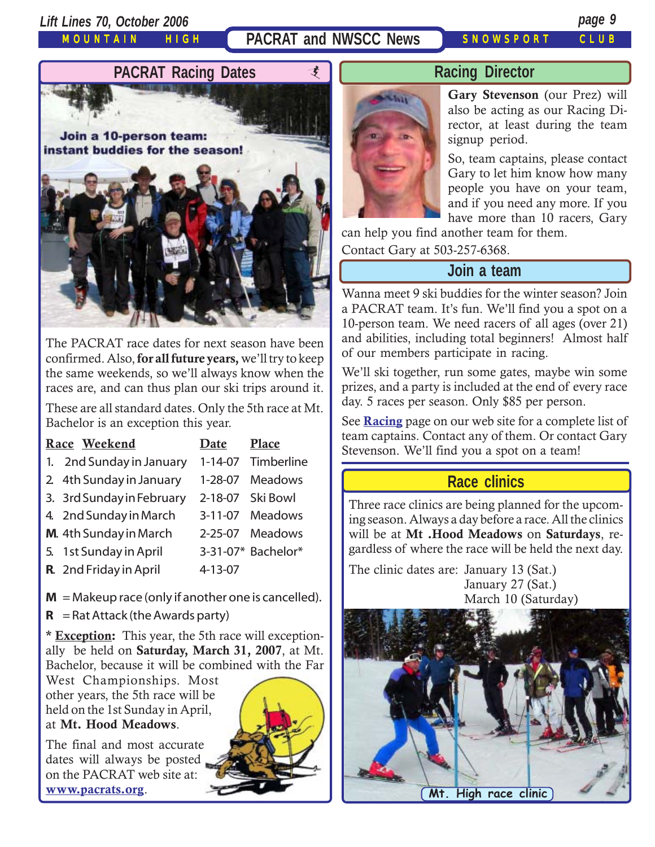*Lift Lines 70, October 2006 page 9*

MOUNTAIN HIGH

PACRAT and NWSCC News SNOWSPORT CLUB



The PACRAT race dates for next season have been confirmed. Also, **for all future years,** we'll try to keep the same weekends, so we'll always know when the races are, and can thus plan our ski trips around it.

These are all standard dates. Only the 5th race at Mt. Bachelor is an exception this year.

| Race Weekend                                          | <b>Date</b>   | Place              |
|-------------------------------------------------------|---------------|--------------------|
| 1. 2nd Sunday in January                              |               | 1-14-07 Timberline |
| 2 4th Sunday in January                               |               | 1-28-07 Meadows    |
| 3. 3rd Sunday in February                             |               | 2-18-07 Ski Bowl   |
| 4. 2nd Sunday in March                                |               | 3-11-07 Meadows    |
| M. 4th Sunday in March                                |               | 2-25-07 Meadows    |
| 5. 1st Sunday in April                                |               | 3-31-07* Bachelor* |
| R. 2nd Friday in April                                | $4 - 13 - 07$ |                    |
| $M =$ Makeup race (only if another one is cancelled). |               |                    |

 $R =$ Rat Attack (the Awards party)

**\* Exception:** This year, the 5th race will exceptionally be held on **Saturday, March 31, 2007**, at Mt. Bachelor, because it will be combined with the Far

West Championships. Most other years, the 5th race will be held on the 1st Sunday in April, at **Mt. Hood Meadows**.

The final and most accurate dates will always be posted on the PACRAT web site at: **[www.pacrats.org](http://www.pacrats.org/)**.



i **Racing Director**

**Gary Stevenson** (our Prez) will also be acting as our Racing Director, at least during the team signup period.

So, team captains, please contact Gary to let him know how many people you have on your team, and if you need any more. If you have more than 10 racers, Gary

can help you find another team for them.

Contact Gary at 503-257-6368.

#### **Join a team**

Wanna meet 9 ski buddies for the winter season? Join a PACRAT team. It's fun. We'll find you a spot on a 10-person team. We need racers of all ages (over 21) and abilities, including total beginners! Almost half of our members participate in racing.

We'll ski together, run some gates, maybe win some prizes, and a party is included at the end of every race day. 5 races per season. Only \$85 per person.

See **[Racing](http://www.mthigh.org/Racing.htm)** page on our web site for a complete list of team captains. Contact any of them. Or contact Gary Stevenson. We'll find you a spot on a team!

#### **Race clinics**

Three race clinics are being planned for the upcoming season. Always a day before a race. All the clinics will be at **Mt .Hood Meadows** on **Saturdays**, regardless of where the race will be held the next day.

The clinic dates are: January 13 (Sat.) January 27 (Sat.) March 10 (Saturday)



**Mt. High race clinic**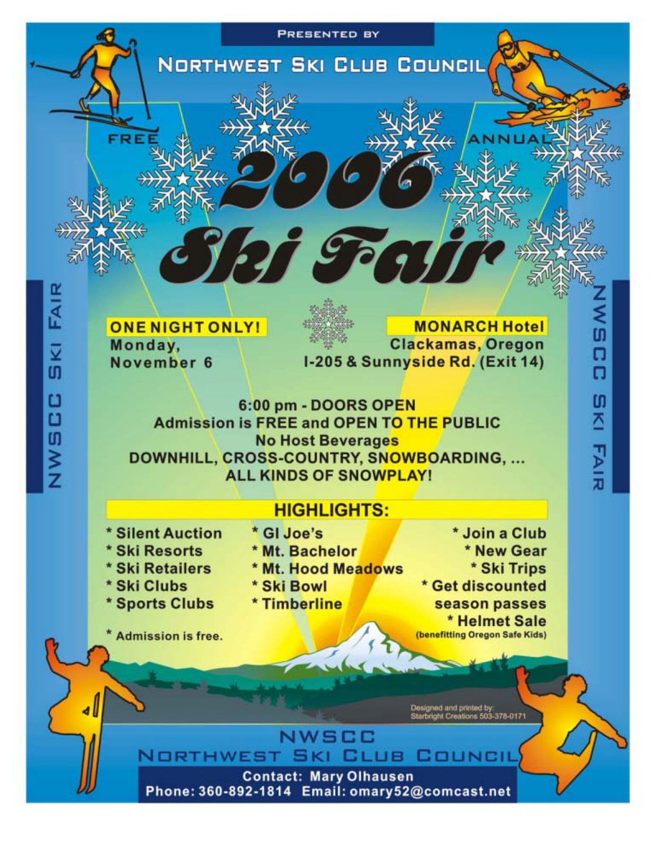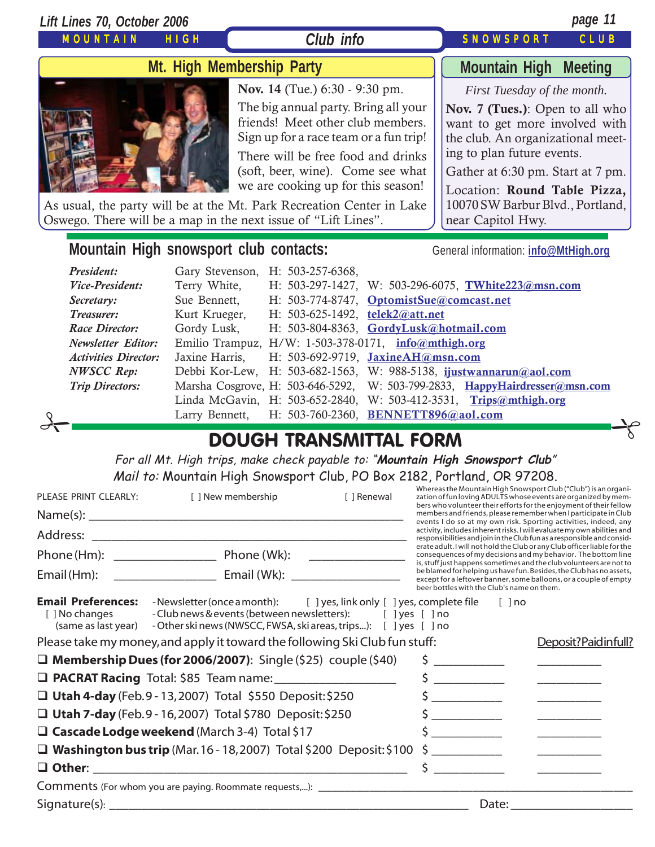| Lift Lines 70, October 2006                                                                                                             |                                                                  |                                                                                                                                                                                                                                                                        |  |                                                                                                                                                                                                                                          | page 11 |
|-----------------------------------------------------------------------------------------------------------------------------------------|------------------------------------------------------------------|------------------------------------------------------------------------------------------------------------------------------------------------------------------------------------------------------------------------------------------------------------------------|--|------------------------------------------------------------------------------------------------------------------------------------------------------------------------------------------------------------------------------------------|---------|
| MOUNTAIN                                                                                                                                | <b>HIGH</b>                                                      | Club info                                                                                                                                                                                                                                                              |  | <b>SNOWSPORT</b>                                                                                                                                                                                                                         | CLUB    |
| Mt. High Membership Party                                                                                                               |                                                                  |                                                                                                                                                                                                                                                                        |  | <b>Mountain High Meeting</b>                                                                                                                                                                                                             |         |
|                                                                                                                                         |                                                                  | Nov. 14 (Tue.) 6:30 - 9:30 pm.<br>The big annual party. Bring all your<br>friends! Meet other club members.<br>Sign up for a race team or a fun trip!<br>There will be free food and drinks<br>(soft, beer, wine). Come see what<br>we are cooking up for this season! |  | First Tuesday of the month.<br>Nov. 7 (Tues.): Open to all who<br>want to get more involved with<br>the club. An organizational meet-<br>ing to plan future events.<br>Gather at 6:30 pm. Start at 7 pm.<br>Location: Round Table Pizza, |         |
| As usual, the party will be at the Mt. Park Recreation Center in Lake<br>Oswego. There will be a map in the next issue of "Lift Lines". |                                                                  |                                                                                                                                                                                                                                                                        |  | 10070 SW Barbur Blvd., Portland,<br>near Capitol Hwy.                                                                                                                                                                                    |         |
| Mountain High snowsport club contacts:<br>General information: info@MtHigh.org                                                          |                                                                  |                                                                                                                                                                                                                                                                        |  |                                                                                                                                                                                                                                          |         |
| President:<br>Vice-President:<br>Secretary:<br>Treasurer:                                                                               | Gary Stevenson,<br>Terry White,<br>Sue Bennett,<br>Kurt Krueger, | H: 503-257-6368,<br>H: 503-774-8747, OptomistSue@comcast.net<br>H: 503-625-1492, telek2@att.net                                                                                                                                                                        |  | H: 503-297-1427, W: 503-296-6075, TWhite223@msn.com                                                                                                                                                                                      |         |
| $\mathbf{D}$ $\mathbf{D}$ : $\mathbf{A}$                                                                                                | $Caust.$ Luck                                                    | II. $E(2.901.9262)$ Conduit untimediation of the same                                                                                                                                                                                                                  |  |                                                                                                                                                                                                                                          |         |

*Race Director:* Gordy Lusk, H: 503-804-8363, **[GordyLusk@hotmail.com](mailto:gordylusk@hotmail.com)** *Newsletter Editor:* Emilio Trampuz, H/W: 1-503-378-0171, **[info@mthigh.org](mailto:info@mthigh.org)** *Activities Director:* Jaxine Harris, H: 503-692-9719, **[JaxineAH@msn.com](mailto:JaxineAH@msn.com)** *NWSCC Rep:* Debbi Kor-Lew, H: 503-682-1563, W: 988-5138, **[ijustwannarun@aol.com](mailto:Ijustwannarun@aol.com)** *Trip Directors:* Marsha Cosgrove, H: 503-646-5292, W: 503-799-2833, **[HappyHairdresser@msn.com](mailto:HappyHairdresser@msn.com)** Linda McGavin, H: 503-652-2840, W: 503-412-3531, **[Trips@mthigh.org](mailto:Trips@mthigh.org)**

Larry Bennett, H: 503-760-2360, **[BENNETT896@aol.com](mailto:BENNETT896@aol.com)**  $\frac{1}{\sqrt{1-\frac{1}{\sqrt{1-\frac{1}{\sqrt{1-\frac{1}{\sqrt{1-\frac{1}{\sqrt{1-\frac{1}{\sqrt{1-\frac{1}{\sqrt{1-\frac{1}{\sqrt{1-\frac{1}{\sqrt{1-\frac{1}{\sqrt{1-\frac{1}{\sqrt{1-\frac{1}{\sqrt{1-\frac{1}{\sqrt{1-\frac{1}{\sqrt{1-\frac{1}{\sqrt{1-\frac{1}{\sqrt{1-\frac{1}{\sqrt{1-\frac{1}{\sqrt{1-\frac{1}{\sqrt{1-\frac{1}{\sqrt{1-\frac{1}{\sqrt{1-\frac{1}{\sqrt{1-\frac{1}{\sqrt{1-\frac{1}{\sqrt{1-\frac{1$ 

### DOUGH TRANSMITTAL FORM

For all Mt. High trips, make check payable to: "**Mountain High Snowsport Club**" Mail to: Mountain High Snowsport Club, PO Box 2182, Portland, OR 97208.

| PLEASE PRINT CLEARLY:                                              | [ ] New membership                                                                                                                                                                                      | [ ] Renewal |                                                                                                                                                                                                                                                               |          | Whereas the Mountain High Snowsport Club ("Club") is an organi-<br>zation of fun loving ADULTS whose events are organized by mem-                                                                        |
|--------------------------------------------------------------------|---------------------------------------------------------------------------------------------------------------------------------------------------------------------------------------------------------|-------------|---------------------------------------------------------------------------------------------------------------------------------------------------------------------------------------------------------------------------------------------------------------|----------|----------------------------------------------------------------------------------------------------------------------------------------------------------------------------------------------------------|
|                                                                    |                                                                                                                                                                                                         |             |                                                                                                                                                                                                                                                               |          | bers who volunteer their efforts for the enjoyment of their fellow<br>members and friends, please remember when I participate in Club<br>events I do so at my own risk. Sporting activities, indeed, any |
|                                                                    |                                                                                                                                                                                                         |             |                                                                                                                                                                                                                                                               |          | activity, includes inherent risks. I will evaluate my own abilities and<br>responsibilities and join in the Club fun as a responsible and consid-                                                        |
|                                                                    |                                                                                                                                                                                                         |             |                                                                                                                                                                                                                                                               |          | erate adult. I will not hold the Club or any Club officer liable for the<br>consequences of my decisions and my behavior. The bottom line                                                                |
| Email (Hm):                                                        |                                                                                                                                                                                                         |             | is, stuff just happens sometimes and the club volunteers are not to<br>be blamed for helping us have fun. Besides, the Club has no assets,<br>except for a leftover banner, some balloons, or a couple of empty<br>beer bottles with the Club's name on them. |          |                                                                                                                                                                                                          |
| <b>Email Preferences:</b><br>[ ] No changes<br>(same as last year) | -Newsletter (once a month): [ ] yes, link only [ ] yes, complete file<br>- Club news & events (between newsletters): [ ] yes [ ] no<br>- Other ski news (NWSCC, FWSA, ski areas, trips): [ ] yes [ ] no |             |                                                                                                                                                                                                                                                               | $[ ]$ no |                                                                                                                                                                                                          |
|                                                                    | Please take my money, and apply it toward the following Ski Club fun stuff:                                                                                                                             |             |                                                                                                                                                                                                                                                               |          | Deposit?Paidinfull?                                                                                                                                                                                      |
|                                                                    | $\Box$ Membership Dues (for 2006/2007): Single (\$25) couple (\$40)                                                                                                                                     |             |                                                                                                                                                                                                                                                               |          |                                                                                                                                                                                                          |
|                                                                    | <b>Q PACRAT Racing</b> Total: \$85 Team name: ____________________                                                                                                                                      |             | \$                                                                                                                                                                                                                                                            |          | $\frac{1}{2}$                                                                                                                                                                                            |
|                                                                    | $\Box$ Utah 4-day (Feb. 9 - 13, 2007) Total \$550 Deposit: \$250                                                                                                                                        |             | <u> 1999 - Jan Ja</u>                                                                                                                                                                                                                                         |          |                                                                                                                                                                                                          |
|                                                                    | $\Box$ Utah 7-day (Feb. 9 - 16, 2007) Total \$780 Deposit: \$250                                                                                                                                        |             |                                                                                                                                                                                                                                                               |          |                                                                                                                                                                                                          |
|                                                                    | □ Cascade Lodge weekend (March 3-4) Total \$17                                                                                                                                                          |             | $\zeta$                                                                                                                                                                                                                                                       |          |                                                                                                                                                                                                          |
|                                                                    | $\Box$ Washington bus trip (Mar. 16 - 18, 2007) Total \$200 Deposit: \$100                                                                                                                              |             |                                                                                                                                                                                                                                                               |          |                                                                                                                                                                                                          |
|                                                                    |                                                                                                                                                                                                         |             | Ś.                                                                                                                                                                                                                                                            |          |                                                                                                                                                                                                          |
|                                                                    |                                                                                                                                                                                                         |             |                                                                                                                                                                                                                                                               |          |                                                                                                                                                                                                          |
| Signature(s): $\_\_$                                               |                                                                                                                                                                                                         |             | Date:                                                                                                                                                                                                                                                         |          |                                                                                                                                                                                                          |